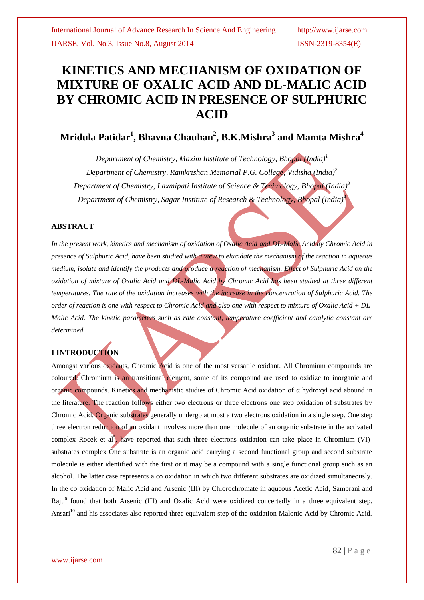# **KINETICS AND MECHANISM OF OXIDATION OF MIXTURE OF OXALIC ACID AND DL-MALIC ACID BY CHROMIC ACID IN PRESENCE OF SULPHURIC ACID**

## **Mridula Patidar 1 , Bhavna Chauhan<sup>2</sup> , B.K.Mishra 3 and Mamta Mishra<sup>4</sup>**

*Department of Chemistry, Maxim Institute of Technology, Bhopal (India)<sup>1</sup> Department of Chemistry, Ramkrishan Memorial P.G. College, Vidisha (India)<sup>2</sup> Department of Chemistry, Laxmipati Institute of Science & Technology, Bhopal (India)<sup>3</sup> Department of Chemistry, Sagar Institute of Research & Technology, Bhopal (India)<sup>4</sup>*

#### **ABSTRACT**

*In the present work, kinetics and mechanism of oxidation of Oxalic Acid and DL-Malic Acid by Chromic Acid in presence of Sulphuric Acid, have been studied with a view to elucidate the mechanism of the reaction in aqueous medium, isolate and identify the products and produce a reaction of mechanism. Effect of Sulphuric Acid on the oxidation of mixture of Oxalic Acid and DL-Malic Acid by Chromic Acid has been studied at three different temperatures. The rate of the oxidation increases with the increase in the concentration of Sulphuric Acid. The order of reaction is one with respect to Chromic Acid and also one with respect to mixture of Oxalic Acid + DL-Malic Acid. The kinetic parameters such as rate constant, temperature coefficient and catalytic constant are determined.*

### **I INTRODUCTION**

Amongst various oxidants, Chromic Acid is one of the most versatile oxidant. All Chromium compounds are coloured. Chromium is an transitional element, some of its compound are used to oxidize to inorganic and organic compounds. Kinetics and mechanistic studies of Chromic Acid oxidation of  $\alpha$  hydroxyl acid abound in the literature. The reaction follows either two electrons or three electrons one step oxidation of substrates by Chromic Acid. Organic substrates generally undergo at most a two electrons oxidation in a single step. One step three electron reduction of an oxidant involves more than one molecule of an organic substrate in the activated complex Rocek et al<sup>5</sup>, have reported that such three electrons oxidation can take place in Chromium (VI)substrates complex One substrate is an organic acid carrying a second functional group and second substrate molecule is either identified with the first or it may be a compound with a single functional group such as an alcohol. The latter case represents a co oxidation in which two different substrates are oxidized simultaneously. In the co oxidation of Malic Acid and Arsenic (III) by Chlorochromate in aqueous Acetic Acid, Sambrani and Raju<sup>6</sup> found that both Arsenic (III) and Oxalic Acid were oxidized concertedly in a three equivalent step. Ansari<sup>10</sup> and his associates also reported three equivalent step of the oxidation Malonic Acid by Chromic Acid.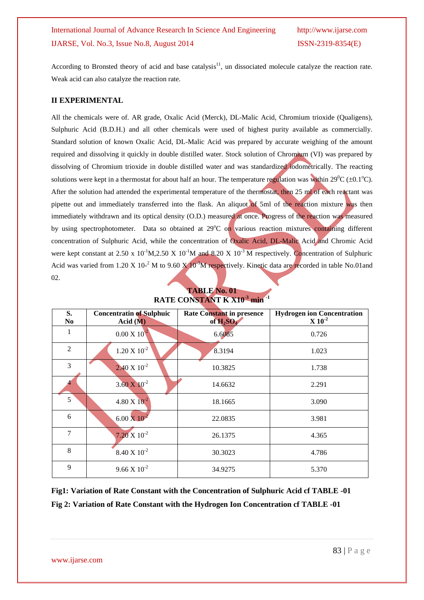## International Journal of Advance Research In Science And Engineering http://www.ijarse.com IJARSE, Vol. No.3, Issue No.8, August 2014 ISSN-2319-8354(E)

According to Bronsted theory of acid and base catalysis $<sup>11</sup>$ , un dissociated molecule catalyze the reaction rate.</sup> Weak acid can also catalyze the reaction rate.

#### **II EXPERIMENTAL**

All the chemicals were of. AR grade, Oxalic Acid (Merck), DL-Malic Acid, Chromium trioxide (Qualigens), Sulphuric Acid (B.D.H.) and all other chemicals were used of highest purity available as commercially. Standard solution of known Oxalic Acid, DL-Malic Acid was prepared by accurate weighing of the amount required and dissolving it quickly in double distilled water. Stock solution of Chromium (VI) was prepared by dissolving of Chromium trioxide in double distilled water and was standardized iodometrically. The reacting solutions were kept in a thermostat for about half an hour. The temperature regulation was within  $29^{\circ}C (\pm 0.1^{\circ}C)$ . After the solution had attended the experimental temperature of the thermostat, then 25 ml of each reactant was pipette out and immediately transferred into the flask. An aliquot of 5ml of the reaction mixture was then immediately withdrawn and its optical density (O.D.) measured at once. Progress of the reaction was measured by using spectrophotometer. Data so obtained at 29°C on various reaction mixtures containing different concentration of Sulphuric Acid, while the concentration of Oxalic Acid, DL-Malic Acid and Chromic Acid were kept constant at 2.50 x  $10^{-1}M$ ,2.50 X  $10^{-1}M$  and 8.20 X  $10^{-3}M$  respectively. Concentration of Sulphuric Acid was varied from 1.20 X 10<sup>-2</sup> M to 9.60  $\chi$  10<sup>-3</sup>M respectively. Kinetic data are recorded in table No.01and 02.

| S.<br>N <sub>0</sub> | <b>Concentratin of Sulphuic</b><br>Acid $(M)$ | <b>Rate Constant in presence</b><br>of $H_2SO_4$ | <b>Hydrogen ion Concentration</b><br>$X$ 10 <sup>-2</sup> |
|----------------------|-----------------------------------------------|--------------------------------------------------|-----------------------------------------------------------|
| 1                    | $0.00 \times 10^{-2}$                         | 6.6085                                           | 0.726                                                     |
| $\overline{2}$       | $1.20 \times 10^{-2}$                         | 8.3194                                           | 1.023                                                     |
| 3                    | $2.40 \times 10^{-2}$                         | 10.3825                                          | 1.738                                                     |
|                      | $3.60 \times 10^{-2}$                         | 14.6632                                          | 2.291                                                     |
| 5                    | $4.80 \times 10^{-2}$                         | 18.1665                                          | 3.090                                                     |
| 6                    | $6.00 \times 10^{-2}$                         | 22.0835                                          | 3.981                                                     |
| $\overline{7}$       | $7.20 \times 10^{-2}$                         | 26.1375                                          | 4.365                                                     |
| 8                    | $8.40 \times 10^{-2}$                         | 30.3023                                          | 4.786                                                     |
| 9                    | $9.66 \times 10^{-2}$                         | 34.9275                                          | 5.370                                                     |

#### **TABLE No. 01 RATE CONSTANT K X10-3 min -1**

**Fig1: Variation of Rate Constant with the Concentration of Sulphuric Acid cf TABLE -01 Fig 2: Variation of Rate Constant with the Hydrogen Ion Concentration cf TABLE -01**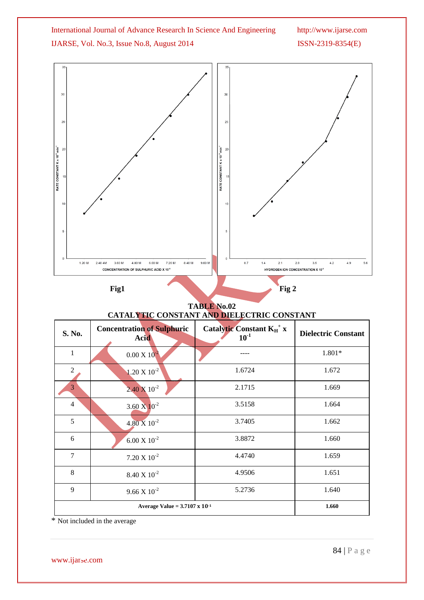



#### **TABLE No.02 CATALYTIC CONSTANT AND DIELECTRIC CONSTANT**

| S. No.         | <b>Concentration of Sulphuric</b><br>Acid | Catalytic Constant $K_H^+ x$<br>$10^{-1}$ | <b>Dielectric Constant</b> |
|----------------|-------------------------------------------|-------------------------------------------|----------------------------|
| 1              | $0.00 \times 10^{-2}$                     |                                           | 1.801*                     |
| 2              | $1.20 \text{ X } 10^{-2}$                 | 1.6724                                    | 1.672                      |
| 3              | $2.40 \times 10^{-2}$                     | 2.1715                                    | 1.669                      |
| $\overline{4}$ | $3.60 \times 10^{-2}$                     | 3.5158                                    | 1.664                      |
| 5              | $4.80 \times 10^{-2}$                     | 3.7405                                    | 1.662                      |
| 6              | $6.00 \times 10^{-2}$                     | 3.8872                                    | 1.660                      |
| 7              | $7.20 \times 10^{-2}$                     | 4.4740                                    | 1.659                      |
| 8              | $8.40 \times 10^{-2}$                     | 4.9506                                    | 1.651                      |
| 9              | $9.66 \times 10^{-2}$                     | 5.2736                                    | 1.640                      |
|                | 1.660                                     |                                           |                            |

\* Not included in the average

www.ijarse.com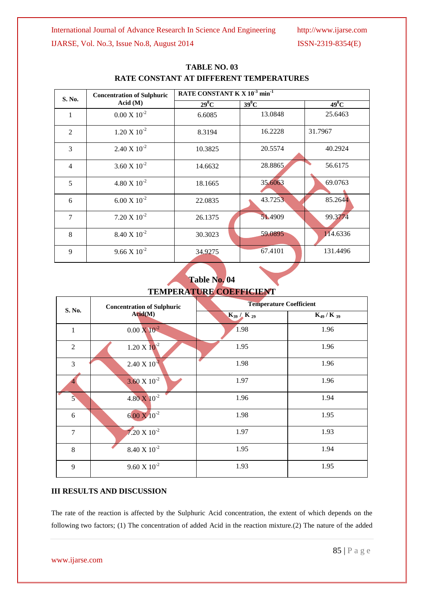| S. No.         | <b>Concentration of Sulphuric</b><br>Acid $(M)$ | RATE CONSTANT K X 10 <sup>-3</sup> min <sup>-1</sup> |         |          |
|----------------|-------------------------------------------------|------------------------------------------------------|---------|----------|
|                |                                                 | $29^0C$                                              | $39^0C$ | $49^0C$  |
|                | $0.00 \times 10^{-2}$                           | 6.6085                                               | 13.0848 | 25.6463  |
| $\mathfrak{D}$ | $1.20 \times 10^{-2}$                           | 8.3194                                               | 16.2228 | 31.7967  |
| 3              | $2.40 \times 10^{-2}$                           | 10.3825                                              | 20.5574 | 40.2924  |
| 4              | $3.60 \times 10^{-2}$                           | 14.6632                                              | 28.8865 | 56.6175  |
| 5              | $4.80 \times 10^{-2}$                           | 18.1665                                              | 35.6063 | 69.0763  |
| 6              | $6.00 \times 10^{-2}$                           | 22.0835                                              | 43.7253 | 85.2644  |
| $\tau$         | $7.20 \times 10^{-2}$                           | 26.1375                                              | 51.4909 | 99.3774  |
| 8              | $8.40 \times 10^{-2}$                           | 30.3023                                              | 59.0895 | 114.6336 |
| 9              | $9.66 \times 10^{-2}$                           | 34.9275                                              | 67.4101 | 131.4496 |

#### **TABLE NO. 03 RATE CONSTANT AT DIFFERENT TEMPERATURES**

## **Table No. 04 TEMPERATURE COEFFICIENT**

| S. No.       | <b>Concentration of Sulphuric</b><br>Acid(M) | <b>Temperature Coefficient</b> |                   |  |
|--------------|----------------------------------------------|--------------------------------|-------------------|--|
|              |                                              | $K_{39} / K_{29}$              | $K_{49} / K_{39}$ |  |
| $\mathbf{1}$ | $0.00 \times 10^{-2}$                        | 1.98                           | 1.96              |  |
| 2            | $1.20 \text{ X } 10^{-2}$                    | 1.95                           | 1.96              |  |
| 3            | $2.40 \times 10^{-2}$                        | 1.98                           | 1.96              |  |
|              | $3.60 \times 10^{-2}$                        | 1.97                           | 1.96              |  |
| $5^{\circ}$  | $4.80 \times 10^{-2}$                        | 1.96                           | 1.94              |  |
| 6            | $6.00 X 10^{-2}$                             | 1.98                           | 1.95              |  |
| $\tau$       | $7.20 \times 10^{-2}$                        | 1.97                           | 1.93              |  |
| 8            | $8.40\times10^{\text{-}2}$                   | 1.95                           | 1.94              |  |
| 9            | $9.60 \times 10^{-2}$                        | 1.93                           | 1.95              |  |

#### **III RESULTS AND DISCUSSION**

The rate of the reaction is affected by the Sulphuric Acid concentration, the extent of which depends on the following two factors; (1) The concentration of added Acid in the reaction mixture.(2) The nature of the added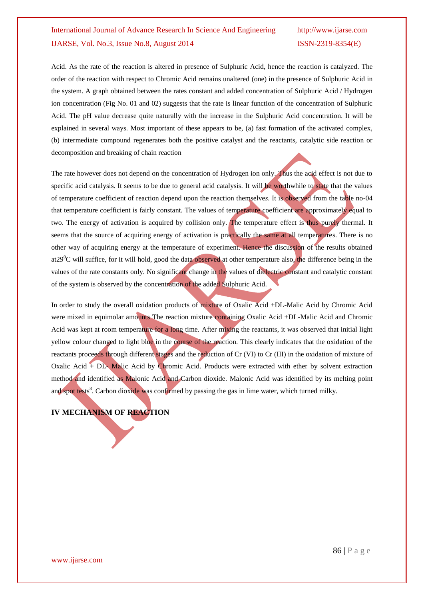## International Journal of Advance Research In Science And Engineering http://www.ijarse.com IJARSE, Vol. No.3, Issue No.8, August 2014 ISSN-2319-8354(E)

Acid. As the rate of the reaction is altered in presence of Sulphuric Acid, hence the reaction is catalyzed. The order of the reaction with respect to Chromic Acid remains unaltered (one) in the presence of Sulphuric Acid in the system. A graph obtained between the rates constant and added concentration of Sulphuric Acid / Hydrogen ion concentration (Fig No. 01 and 02) suggests that the rate is linear function of the concentration of Sulphuric Acid. The pH value decrease quite naturally with the increase in the Sulphuric Acid concentration. It will be explained in several ways. Most important of these appears to be, (a) fast formation of the activated complex, (b) intermediate compound regenerates both the positive catalyst and the reactants, catalytic side reaction or decomposition and breaking of chain reaction

The rate however does not depend on the concentration of Hydrogen ion only. Thus the acid effect is not due to specific acid catalysis. It seems to be due to general acid catalysis. It will be worthwhile to state that the values of temperature coefficient of reaction depend upon the reaction themselve*s*. It is observed from the table no-04 that temperature coefficient is fairly constant. The values of temperature coefficient are approximately equal to two. The energy of activation is acquired by collision only. The temperature effect is thus purely thermal. It seems that the source of acquiring energy of activation is practically the same at all temperatures. There is no other way of acquiring energy at the temperature of experiment. Hence the discussion of the results obtained at29 $^{\circ}$ C will suffice, for it will hold, good the data observed at other temperature also, the difference being in the values of the rate constants only. No significant change in the values of dielectric constant and catalytic constant of the system is observed by the concentration of the added Sulphuric Acid.

In order to study the overall oxidation products of mixture of Oxalic Acid +DL-Malic Acid by Chromic Acid were mixed in equimolar amounts The reaction mixture containing Oxalic Acid +DL-Malic Acid and Chromic Acid was kept at room temperature for a long time. After mixing the reactants, it was observed that initial light yellow colour changed to light blue in the course of the reaction. This clearly indicates that the oxidation of the reactants proceeds through different stages and the reduction of Cr (VI) to Cr (III) in the oxidation of mixture of Oxalic Acid + DL- Malic Acid by Chromic Acid. Products were extracted with ether by solvent extraction method and identified as Malonic Acid and Carbon dioxide. Malonic Acid was identified by its melting point and spot tests<sup>8</sup>. Carbon dioxide was confirmed by passing the gas in lime water, which turned milky.

#### **IV MECHANISM OF REACTION**